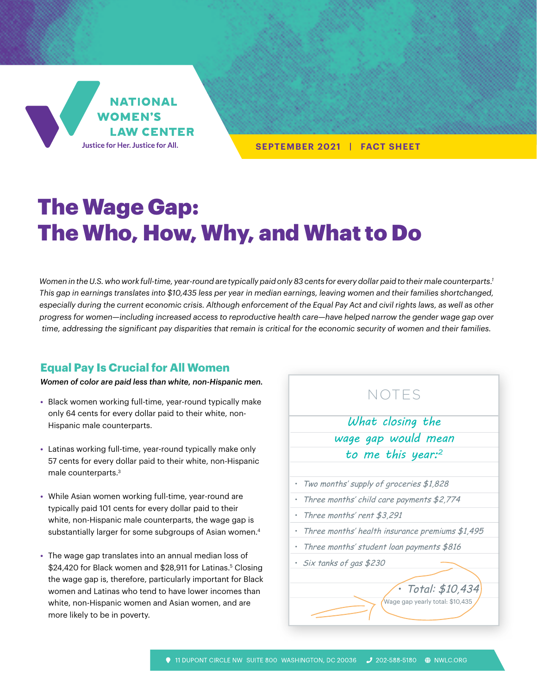

**SEPTEMBER 2021 | FACT SHEET**

# The Wage Gap: The Who, How, Why, and What to Do

*Women in the U.S. who work full-time, year-round are typically paid only 83 cents for every dollar paid to their male counterparts.1 This gap in earnings translates into \$10,435 less per year in median earnings, leaving women and their families shortchanged,*  especially during the current economic crisis. Although enforcement of the Equal Pay Act and civil rights laws, as well as other *progress for women—including increased access to reproductive health care—have helped narrow the gender wage gap over time, addressing the significant pay disparities that remain is critical for the economic security of women and their families.* 

# **Equal Pay Is Crucial for All Women**

*Women of color are paid less than white, non-Hispanic men.*

- **•** Black women working full-time, year-round typically make only 64 cents for every dollar paid to their white, non-Hispanic male counterparts.
- **•** Latinas working full-time, year-round typically make only 57 cents for every dollar paid to their white, non-Hispanic male counterparts.3
- **•** While Asian women working full-time, year-round are typically paid 101 cents for every dollar paid to their white, non-Hispanic male counterparts, the wage gap is substantially larger for some subgroups of Asian women.<sup>4</sup>
- **•** The wage gap translates into an annual median loss of \$24,420 for Black women and \$28,911 for Latinas.<sup>5</sup> Closing the wage gap is, therefore, particularly important for Black women and Latinas who tend to have lower incomes than white, non-Hispanic women and Asian women, and are more likely to be in poverty.

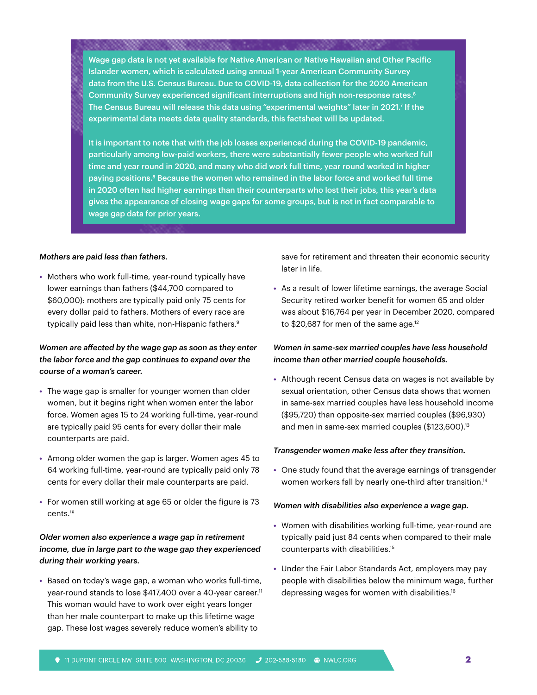Wage gap data is not yet available for Native American or Native Hawaiian and Other Pacific Islander women, which is calculated using annual 1-year American Community Survey data from the U.S. Census Bureau. Due to COVID-19, data collection for the 2020 American Community Survey experienced significant interruptions and high non-response rates. $6$ The Census Bureau will release this data using "experimental weights" later in 2021.7 If the experimental data meets data quality standards, this factsheet will be updated.

<u> Karabaran Sababaran Ing</u>

It is important to note that with the job losses experienced during the COVID-19 pandemic, particularly among low-paid workers, there were substantially fewer people who worked full time and year round in 2020, and many who did work full time, year round worked in higher paying positions.8 Because the women who remained in the labor force and worked full time in 2020 often had higher earnings than their counterparts who lost their jobs, this year's data gives the appearance of closing wage gaps for some groups, but is not in fact comparable to wage gap data for prior years.

#### *Mothers are paid less than fathers.*

**•** Mothers who work full-time, year-round typically have lower earnings than fathers (\$44,700 compared to \$60,000): mothers are typically paid only 75 cents for every dollar paid to fathers. Mothers of every race are typically paid less than white, non-Hispanic fathers.<sup>9</sup>

# *Women are affected by the wage gap as soon as they enter the labor force and the gap continues to expand over the course of a woman's career.*

- **•** The wage gap is smaller for younger women than older women, but it begins right when women enter the labor force. Women ages 15 to 24 working full-time, year-round are typically paid 95 cents for every dollar their male counterparts are paid.
- **•** Among older women the gap is larger. Women ages 45 to 64 working full-time, year-round are typically paid only 78 cents for every dollar their male counterparts are paid.
- **•** For women still working at age 65 or older the figure is 73 cents.10

# *Older women also experience a wage gap in retirement income, due in large part to the wage gap they experienced during their working years.*

**•** Based on today's wage gap, a woman who works full-time, year-round stands to lose \$417,400 over a 40-year career.<sup>11</sup> This woman would have to work over eight years longer than her male counterpart to make up this lifetime wage gap. These lost wages severely reduce women's ability to

save for retirement and threaten their economic security later in life.

**•** As a result of lower lifetime earnings, the average Social Security retired worker benefit for women 65 and older was about \$16,764 per year in December 2020, compared to  $$20,687$  for men of the same age.<sup>12</sup>

## *Women in same-sex married couples have less household income than other married couple households.*

**•** Although recent Census data on wages is not available by sexual orientation, other Census data shows that women in same-sex married couples have less household income (\$95,720) than opposite-sex married couples (\$96,930) and men in same-sex married couples (\$123,600).<sup>13</sup>

## *Transgender women make less after they transition.*

**•** One study found that the average earnings of transgender women workers fall by nearly one-third after transition.<sup>14</sup>

## *Women with disabilities also experience a wage gap.*

- **•** Women with disabilities working full-time, year-round are typically paid just 84 cents when compared to their male counterparts with disabilities.15
- **•** Under the Fair Labor Standards Act, employers may pay people with disabilities below the minimum wage, further depressing wages for women with disabilities.16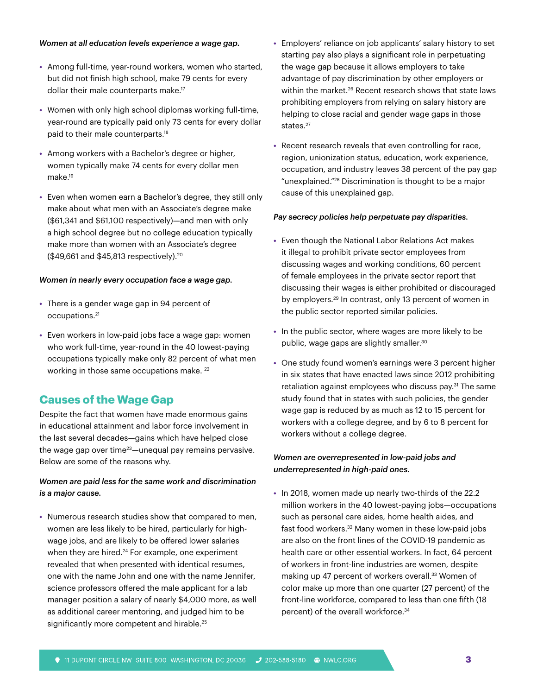## *Women at all education levels experience a wage gap.*

- **•** Among full-time, year-round workers, women who started, but did not finish high school, make 79 cents for every dollar their male counterparts make.17
- **•** Women with only high school diplomas working full-time, year-round are typically paid only 73 cents for every dollar paid to their male counterparts.18
- **•** Among workers with a Bachelor's degree or higher, women typically make 74 cents for every dollar men make.19
- **•** Even when women earn a Bachelor's degree, they still only make about what men with an Associate's degree make (\$61,341 and \$61,100 respectively)—and men with only a high school degree but no college education typically make more than women with an Associate's degree (\$49,661 and \$45,813 respectively).20

## *Women in nearly every occupation face a wage gap.*

- **•** There is a gender wage gap in 94 percent of occupations.21
- **•** Even workers in low-paid jobs face a wage gap: women who work full-time, year-round in the 40 lowest-paying occupations typically make only 82 percent of what men working in those same occupations make. 22

# **Causes of the Wage Gap**

Despite the fact that women have made enormous gains in educational attainment and labor force involvement in the last several decades—gains which have helped close the wage gap over time $23$ —unequal pay remains pervasive. Below are some of the reasons why.

## *Women are paid less for the same work and discrimination is a major cause.*

**•** Numerous research studies show that compared to men, women are less likely to be hired, particularly for highwage jobs, and are likely to be offered lower salaries when they are hired.<sup>24</sup> For example, one experiment revealed that when presented with identical resumes, one with the name John and one with the name Jennifer, science professors offered the male applicant for a lab manager position a salary of nearly \$4,000 more, as well as additional career mentoring, and judged him to be significantly more competent and hirable.<sup>25</sup>

- **•** Employers' reliance on job applicants' salary history to set starting pay also plays a significant role in perpetuating the wage gap because it allows employers to take advantage of pay discrimination by other employers or within the market.<sup>26</sup> Recent research shows that state laws prohibiting employers from relying on salary history are helping to close racial and gender wage gaps in those states.<sup>27</sup>
- **•** Recent research reveals that even controlling for race, region, unionization status, education, work experience, occupation, and industry leaves 38 percent of the pay gap "unexplained."28 Discrimination is thought to be a major cause of this unexplained gap.

## *Pay secrecy policies help perpetuate pay disparities.*

- **•** Even though the National Labor Relations Act makes it illegal to prohibit private sector employees from discussing wages and working conditions, 60 percent of female employees in the private sector report that discussing their wages is either prohibited or discouraged by employers.29 In contrast, only 13 percent of women in the public sector reported similar policies.
- **•** In the public sector, where wages are more likely to be public, wage gaps are slightly smaller.30
- **•** One study found women's earnings were 3 percent higher in six states that have enacted laws since 2012 prohibiting retaliation against employees who discuss pay.<sup>31</sup> The same study found that in states with such policies, the gender wage gap is reduced by as much as 12 to 15 percent for workers with a college degree, and by 6 to 8 percent for workers without a college degree.

## *Women are overrepresented in low-paid jobs and underrepresented in high-paid ones.*

**•** In 2018, women made up nearly two-thirds of the 22.2 million workers in the 40 lowest-paying jobs—occupations such as personal care aides, home health aides, and fast food workers.32 Many women in these low-paid jobs are also on the front lines of the COVID-19 pandemic as health care or other essential workers. In fact, 64 percent of workers in front-line industries are women, despite making up 47 percent of workers overall.<sup>33</sup> Women of color make up more than one quarter (27 percent) of the front-line workforce, compared to less than one fifth (18 percent) of the overall workforce.34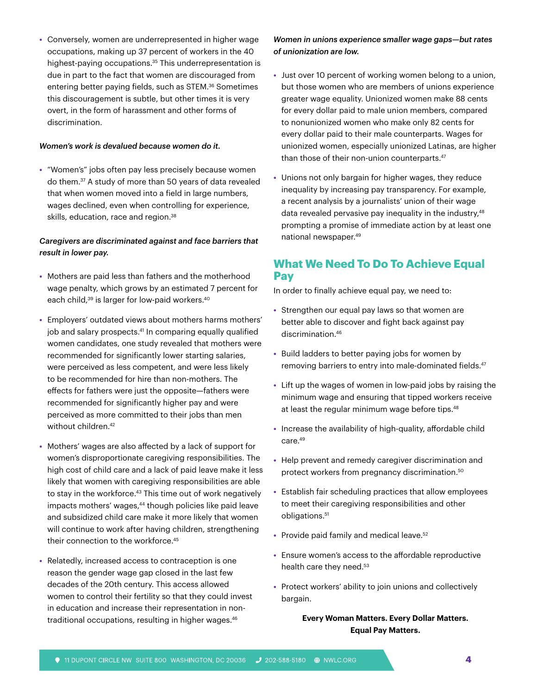**•** Conversely, women are underrepresented in higher wage occupations, making up 37 percent of workers in the 40 highest-paying occupations.<sup>35</sup> This underrepresentation is due in part to the fact that women are discouraged from entering better paying fields, such as STEM.36 Sometimes this discouragement is subtle, but other times it is very overt, in the form of harassment and other forms of discrimination.

## *Women's work is devalued because women do it.*

**•** "Women's" jobs often pay less precisely because women do them.37 A study of more than 50 years of data revealed that when women moved into a field in large numbers, wages declined, even when controlling for experience, skills, education, race and region.<sup>38</sup>

# *Caregivers are discriminated against and face barriers that result in lower pay.*

- **•** Mothers are paid less than fathers and the motherhood wage penalty, which grows by an estimated 7 percent for each child,<sup>39</sup> is larger for low-paid workers.<sup>40</sup>
- **•** Employers' outdated views about mothers harms mothers' job and salary prospects.<sup>41</sup> In comparing equally qualified women candidates, one study revealed that mothers were recommended for significantly lower starting salaries, were perceived as less competent, and were less likely to be recommended for hire than non-mothers. The effects for fathers were just the opposite—fathers were recommended for significantly higher pay and were perceived as more committed to their jobs than men without children.<sup>42</sup>
- **•** Mothers' wages are also affected by a lack of support for women's disproportionate caregiving responsibilities. The high cost of child care and a lack of paid leave make it less likely that women with caregiving responsibilities are able to stay in the workforce.<sup>43</sup> This time out of work negatively impacts mothers' wages,<sup>44</sup> though policies like paid leave and subsidized child care make it more likely that women will continue to work after having children, strengthening their connection to the workforce.<sup>45</sup>
- **•** Relatedly, increased access to contraception is one reason the gender wage gap closed in the last few decades of the 20th century. This access allowed women to control their fertility so that they could invest in education and increase their representation in nontraditional occupations, resulting in higher wages.<sup>46</sup>

# *Women in unions experience smaller wage gaps—but rates of unionization are low.*

- **•** Just over 10 percent of working women belong to a union, but those women who are members of unions experience greater wage equality. Unionized women make 88 cents for every dollar paid to male union members, compared to nonunionized women who make only 82 cents for every dollar paid to their male counterparts. Wages for unionized women, especially unionized Latinas, are higher than those of their non-union counterparts.<sup>47</sup>
- **•** Unions not only bargain for higher wages, they reduce inequality by increasing pay transparency. For example, a recent analysis by a journalists' union of their wage data revealed pervasive pay inequality in the industry,<sup>48</sup> prompting a promise of immediate action by at least one national newspaper.49

# **What We Need To Do To Achieve Equal Pay**

In order to finally achieve equal pay, we need to:

- **•** Strengthen our equal pay laws so that women are better able to discover and fight back against pay discrimination.46
- **•** Build ladders to better paying jobs for women by removing barriers to entry into male-dominated fields.<sup>47</sup>
- **•** Lift up the wages of women in low-paid jobs by raising the minimum wage and ensuring that tipped workers receive at least the regular minimum wage before tips.<sup>48</sup>
- **•** Increase the availability of high-quality, affordable child care.49
- **•** Help prevent and remedy caregiver discrimination and protect workers from pregnancy discrimination.50
- **•** Establish fair scheduling practices that allow employees to meet their caregiving responsibilities and other obligations.<sup>51</sup>
- Provide paid family and medical leave.<sup>52</sup>
- **•** Ensure women's access to the affordable reproductive health care they need.<sup>53</sup>
- **•** Protect workers' ability to join unions and collectively bargain.

# **Every Woman Matters. Every Dollar Matters. Equal Pay Matters.**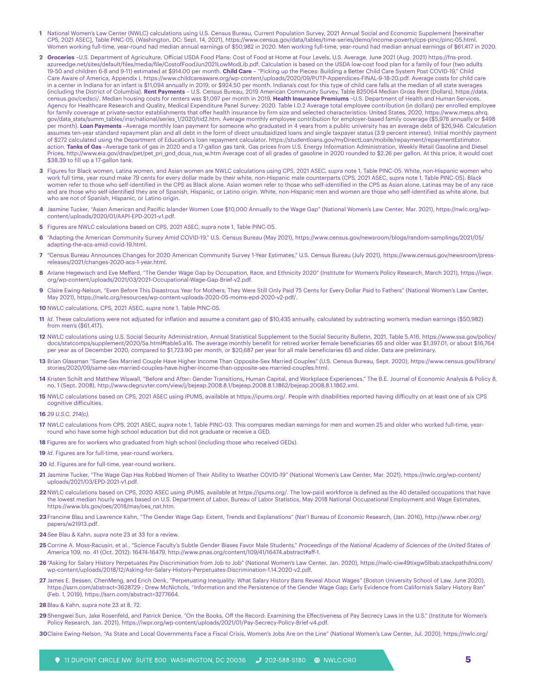- **1** National Women's Law Center (NWLC) calculations using U.S. Census Bureau, Current Population Survey, 2021 Annual Social and Economic Supplement [hereinafter CPS, 2021 ASEC], Table PINC-05, (Washington, DC: Sept. 14, 2021), [https://www.census.gov/data/tables/time-series/demo/income-poverty/cps-pinc/pinc-05.html.](https://www.census.gov/data/tables/time-series/demo/income-poverty/cps-pinc/pinc-05.html) Women working full-time, year-round had median annual earnings of \$50,982 in 2020. Men working full-time, year-round had median annual earnings of \$61,417 in 2020.
- **2 Groceries** –U.S. Department of Agriculture, Official USDA Food Plans: Cost of Food at Home at Four Levels, U.S. Average, June 2021 (Aug. 2021) [https://fns-prod.](https://fns-prod.azureedge.net/sites/default/files/media/file/CostofFoodJun2021LowModLib.pdf) [azureedge.net/sites/default/files/media/file/CostofFoodJun2021LowModLib.pdf](https://fns-prod.azureedge.net/sites/default/files/media/file/CostofFoodJun2021LowModLib.pdf). Calculation is based on the USDA low-cost food plan for a family of four (two adults 19-50 and children 6-8 and 9-11) estimated at \$914.00 per month. **Child Care** – "Picking up the Pieces: Building a Better Child Care System Post COVID-19," Child Care Aware of America, Appendix I, <https://www.childcareaware.org/wp-content/uploads/2020/09/PUTP-Appendices-FINAL-9-18-20.pdf>. Average costs for child care in a center in Indiana for an infant is \$11,094 annually in 2019, or \$924.50 per month. Indiana's cost for this type of child care falls at the median of all state averages (including the District of Columbia). **Rent Payments** – U.S. Census Bureau, 2019 American Community Survey, Table B25064 Median Gross Rent (Dollars), [https://data.](https://data.census.gov/cedsci/) [census.gov/cedsci/](https://data.census.gov/cedsci/). Median housing costs for renters was \$1,097 per month in 2019. **Health Insurance Premiums** –U.S. Department of Health and Human Services, Agency for Healthcare Research and Quality, Medical Expenditure Panel Survey: 2020. Table I.D.2 Average total employee contribution (in dollars) per enrolled employee for family coverage at private-sector establishments that offer health insurance by firm size and selected characteristics: United States, 2020, [https://www.meps.ahrq.](https://www.meps.ahrq.gov/data_stats/summ_tables/insr/national/series_1/2020/tid2.htm) [gov/data\\_stats/summ\\_tables/insr/national/series\\_1/2020/tid2.htm.](https://www.meps.ahrq.gov/data_stats/summ_tables/insr/national/series_1/2020/tid2.htm) Average monthly employee contribution for employer-based family coverage (\$5,978 annually or \$498 per month). **Loan Payments** –Average monthly loan payment for someone who graduated in 4 years from a public university has an average debt of \$26,946. Calculation assumes ten-year standard repayment plan and all debt in the form of direct unsubsidized loans and single taxpayer status (3.9 percent interest). Initial monthly payment of \$272 calculated using the Department of Education's loan repayment calculator, [https://studentloans.gov/myDirectLoan/mobile/repayment/repaymentEstimator.](https://studentloans.gov/myDirectLoan/mobile/repayment/repaymentEstimator.action) [action.](https://studentloans.gov/myDirectLoan/mobile/repayment/repaymentEstimator.action) **Tanks of Gas** –Average tank of gas in 2020 and a 17-gallon gas tank. Gas prices from U.S. Energy Information Administration, Weekly Retail Gasoline and Diesel Prices, [http://www.eia.gov/dnav/pet/pet\\_pri\\_gnd\\_dcus\\_nus\\_w.htm](http://www.eia.gov/dnav/pet/pet_pri_gnd_dcus_nus_w.htm) Average cost of all grades of gasoline in 2020 rounded to \$2.26 per gallon. At this price, it would cost \$38.39 to fill up a 17-gallon tank.
- **3** Figures for Black women, Latina women, and Asian women are NWLC calculations using CPS, 2021 ASEC, *supra* note 1, Table PINC-05. White, non-Hispanic women who work full time, year round make 79 cents for every dollar made by their white, non-Hispanic male counterparts (CPS, 2021 ASEC, *supra* note 1, Table PINC-05). Black women refer to those who self-identified in the CPS as Black alone. Asian women refer to those who self-identified in the CPS as Asian alone. Latinas may be of any race and are those who self-identified they are of Spanish, Hispanic, or Latino origin. White, non-Hispanic men and women are those who self-identified as white alone, but who are not of Spanish, Hispanic, or Latino origin.
- **4** Jasmine Tucker, "Asian American and Pacific Islander Women Lose \$10,000 Annually to the Wage Gap" (National Women's Law Center, Mar. 2021), [https://nwlc.org/wp](https://nwlc.org/wp-content/uploads/2020/01/AAPI-EPD-2021-v1.pdf)[content/uploads/2020/01/AAPI-EPD-2021-v1.pdf](https://nwlc.org/wp-content/uploads/2020/01/AAPI-EPD-2021-v1.pdf).
- **5** Figures are NWLC calculations based on CPS, 2021 ASEC, *supra* note 1, Table PINC-05.
- **6** "Adapting the American Community Survey Amid COVID-19," U.S. Census Bureau (May 2021), [https://www.census.gov/newsroom/blogs/random-samplings/2021/05/](https://www.census.gov/newsroom/blogs/random-samplings/2021/05/adapting-the-acs-amid-covid-19.html) [adapting-the-acs-amid-covid-19.html.](https://www.census.gov/newsroom/blogs/random-samplings/2021/05/adapting-the-acs-amid-covid-19.html)
- **7** "Census Bureau Announces Changes for 2020 American Community Survey 1-Year Estimates," U.S. Census Bureau (July 2021), [https://www.census.gov/newsroom/press](https://www.census.gov/newsroom/press-releases/2021/changes-2020-acs-1-year.html)[releases/2021/changes-2020-acs-1-year.html.](https://www.census.gov/newsroom/press-releases/2021/changes-2020-acs-1-year.html)
- **8** Ariane Hegewisch and Eve Mefferd, "The Gender Wage Gap by Occupation, Race, and Ethnicity 2020" (Institute for Women's Policy Research, March 2021), [https://iwpr.](https://iwpr.org/wp-content/uploads/2021/03/2021-Occupational-Wage-Gap-Brief-v2.pdf.9) [org/wp-content/uploads/2021/03/2021-Occupational-Wage-Gap-Brief-v2.pdf.](https://iwpr.org/wp-content/uploads/2021/03/2021-Occupational-Wage-Gap-Brief-v2.pdf.9)
- **9** Claire Ewing-Nelson, "Even Before This Disastrous Year for Mothers, They Were Still Only Paid 75 Cents for Every Dollar Paid to Fathers" (National Women's Law Center, May 2021), [https://nwlc.org/resources/wp-content-uploads-2020-05-moms-epd-2020-v2-pdf/.](https://nwlc.org/resources/wp-content-uploads-2020-05-moms-epd-2020-v2-pdf/)
- **10** NWLC calculations, CPS, 2021 ASEC, *supra* note 1, Table PINC-05.
- **11** *Id*. These calculations were not adjusted for inflation and assume a constant gap of \$10,435 annually, calculated by subtracting women's median earnings (\$50,982) from men's (\$61,417).
- **12** NWLC calculations using U.S. Social Security Administration, Annual Statistical Supplement to the Social Security Bulletin, 2021, Table 5.A16, [https://www.ssa.gov/policy/](https://www.ssa.gov/policy/docs/statcomps/supplement/2020/5a.html#table5.a16) [docs/statcomps/supplement/2020/5a.html#table5.a16.](https://www.ssa.gov/policy/docs/statcomps/supplement/2020/5a.html#table5.a16) The average monthly benefit for retired worker female beneficiaries 65 and older was \$1,397.01, or about \$16,764 per year as of December 2020, compared to \$1,723.90 per month, or \$20,687 per year for all male beneficiaries 65 and older. Data are preliminary.
- **13** Brian Glassman "Same-Sex Married Couple Have Higher Income Than Opposite-Sex Married Couples" (U.S. Census Bureau, Sept. 2020), [https://www.census.gov/library/](https://www.census.gov/library/stories/2020/09/same-sex-married-couples-have-higher-income-than-opposite-sex-married-couples.html) [stories/2020/09/same-sex-married-couples-have-higher-income-than-opposite-sex-married-couples.html](https://www.census.gov/library/stories/2020/09/same-sex-married-couples-have-higher-income-than-opposite-sex-married-couples.html).
- **14** Kristen Schilt and Matthew Wiswall, "Before and After: Gender Transitions, Human Capital, and Workplace Experiences," The B.E. Journal of Economic Analysis & Policy 8, no. 1 (Sept. 2008),<http://www.degruyter.com/view/j/bejeap.2008.8.1/bejeap.2008.8.1.1862/bejeap.2008.8.1.1862.xml>.
- **15** NWLC calculations based on CPS, 2021 ASEC using IPUMS, available at<https://ipums.org/>. People with disabilities reported having difficulty on at least one of six CPS cognitive difficulties.
- **16** *29 U.S.C. 214(c).*
- **17** NWLC calculations from CPS, 2021 ASEC, *supra* note 1, Table PINC-03. This compares median earnings for men and women 25 and older who worked full-time, yearround who have some high school education but did not graduate or receive a GED.
- **18** Figures are for workers who graduated from high school (including those who received GEDs).
- **19** *Id*. Figures are for full-time, year-round workers.
- **20** *Id*. Figures are for full-time, year-round workers.
- **21** Jasmine Tucker, "The Wage Gap Has Robbed Women of Their Ability to Weather COVID-19" (National Women's Law Center, Mar. 2021), [https://nwlc.org/wp-content/](https://nwlc.org/wp-content/uploads/2021/03/EPD-2021-v1.pdf) [uploads/2021/03/EPD-2021-v1.pdf.](https://nwlc.org/wp-content/uploads/2021/03/EPD-2021-v1.pdf)
- **22** NWLC calculations based on CPS, 2020 ASEC using IPUMS, available at <https://ipums.org/>. The low-paid workforce is defined as the 40 detailed occupations that have the lowest median hourly wages based on U.S. Department of Labor, Bureau of Labor Statistics, May 2018 National Occupational Employment and Wage Estimates, [https://www.bls.gov/oes/2018/may/oes\\_nat.htm](https://www.bls.gov/oes/2018/may/oes_nat.htm).
- **23**Francine Blau and Lawrence Kahn, "The Gender Wage Gap: Extent, Trends and Explanations" (Nat'l Bureau of Economic Research, (Jan. 2016), [http://www.nber.org/](http://www.nber.org/papers/w21913.pdf) [papers/w21913.pdf.](http://www.nber.org/papers/w21913.pdf)
- **24***See* Blau & Kahn, *supra* note 23 at 33 for a review.
- **25** Corrine A. Moss-Racusin, et al., "Science Faculty's Subtle Gender Biases Favor Male Students," *Proceedings of the National Academy of Sciences of the United States of America* 109, no. 41 (Oct. 2012): 16474-16479, [http://www.pnas.org/content/109/41/16474.abstract#aff-1.](http://www.pnas.org/content/109/41/16474.abstract#aff-1)
- **26**"Asking for Salary History Perpetuates Pay Discrimination from Job to Job" (National Women's Law Center, Jan. 2020), [https://nwlc-ciw49tixgw5lbab.stackpathdns.com/](https://nwlc-ciw49tixgw5lbab.stackpathdns.com/wp-content/uploads/2018/12/Asking-for-Salary-History-Perpetuates-Discrimination-1.14.2020-v2.pdf) [wp-content/uploads/2018/12/Asking-for-Salary-History-Perpetuates-Discrimination-1.14.2020-v2.pdf](https://nwlc-ciw49tixgw5lbab.stackpathdns.com/wp-content/uploads/2018/12/Asking-for-Salary-History-Perpetuates-Discrimination-1.14.2020-v2.pdf).
- **27** James E. Bessen, ChenMeng, and Erich Denk, "Perpetuating Inequality: What Salary History Bans Reveal About Wages" (Boston University School of Law, June 2020), <https://ssrn.com/abstract=3628729> ; Drew McNichols, "Information and the Persistence of the Gender Wage Gap; Early Evidence from California's Salary History Ban" (Feb. 1, 2019), [https://ssrn.com/abstract=3277664.](https://ssrn.com/abstract=3277664)
- **28**Blau & Kahn, *supra* note 23 at 8, 72.
- **29**Shengwei Sun, Jake Rosenfeld, and Patrick Denice, "On the Books, Off the Record: Examining the Effectiveness of Pay Secrecy Laws in the U.S." (Institute for Women's Policy Research, Jan. 2021), [https://iwpr.org/wp-content/uploads/2021/01/Pay-Secrecy-Policy-Brief-v4.pdf.](https://iwpr.org/wp-content/uploads/2021/01/Pay-Secrecy-Policy-Brief-v4.pdf)
- **30**Claire Ewing-Nelson, "As State and Local Governments Face a Fiscal Crisis, Women's Jobs Are on the Line" (National Women's Law Center, Jul. 2020), [https://nwlc.org/](https://nwlc.org/wp-content/uploads/2020/07/Governmentworkersfactsheet-2.pdf)